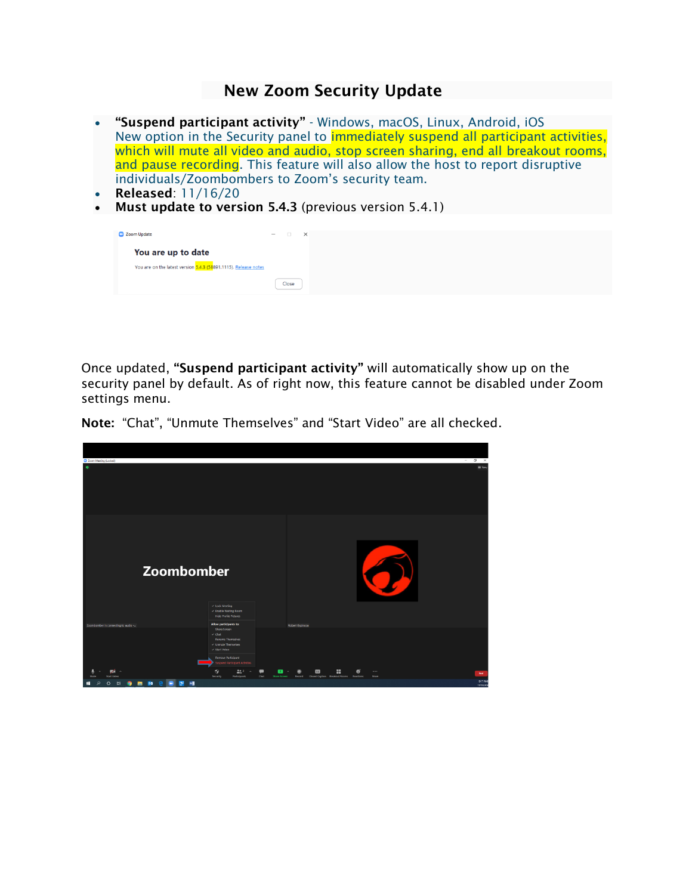## New Zoom Security Update

- "Suspend participant activity" Windows, macOS, Linux, Android, iOS New option in the Security panel to **immediately suspend all participant activities**, which will mute all video and audio, stop screen sharing, end all breakout rooms, and pause recording. This feature will also allow the host to report disruptive individuals/Zoombombers to Zoom's security team.
- Released: 11/16/20
- Must update to version 5.4.3 (previous version 5.4.1)

| 200m Update                                                     | $ \Box$ $\times$ |  |
|-----------------------------------------------------------------|------------------|--|
| You are up to date                                              |                  |  |
| You are on the latest version 5.4.3 (58891.1115). Release notes |                  |  |
|                                                                 | Close            |  |

Once updated, "Suspend participant activity" will automatically show up on the security panel by default. As of right now, this feature cannot be disabled under Zoom settings menu.

Note: "Chat", "Unmute Themselves" and "Start Video" are all checked.

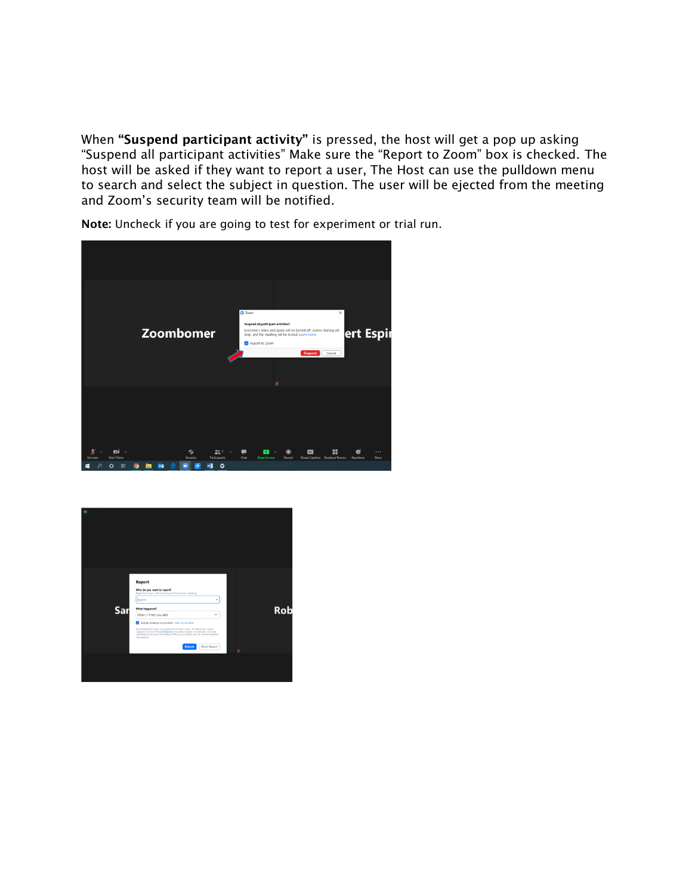When "Suspend participant activity" is pressed, the host will get a pop up asking "Suspend all participant activities" Make sure the "Report to Zoom" box is checked. The host will be asked if they want to report a user, The Host can use the pulldown menu to search and select the subject in question. The user will be ejected from the meeting and Zoom's security team will be notified.



Note: Uncheck if you are going to test for experiment or trial run.